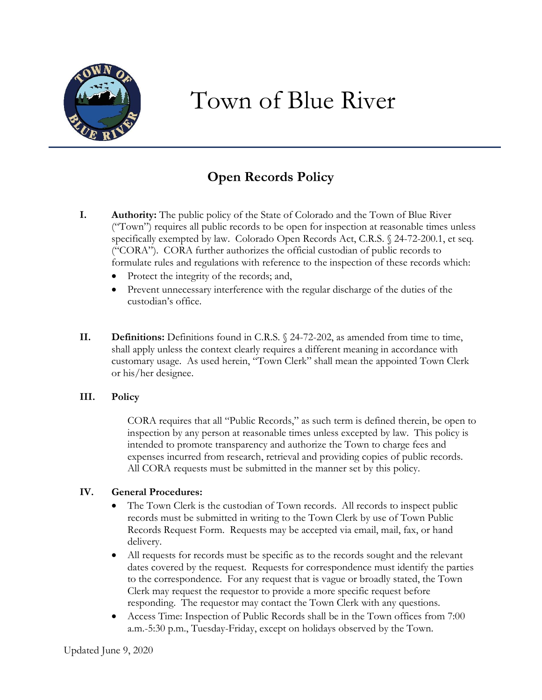

# Town of Blue River

## **Open Records Policy**

- **I. Authority:** The public policy of the State of Colorado and the Town of Blue River ("Town") requires all public records to be open for inspection at reasonable times unless specifically exempted by law. Colorado Open Records Act, C.R.S. § 24-72-200.1, et seq. ("CORA"). CORA further authorizes the official custodian of public records to formulate rules and regulations with reference to the inspection of these records which:
	- Protect the integrity of the records; and,
	- Prevent unnecessary interference with the regular discharge of the duties of the custodian's office.
- **II. Definitions:** Definitions found in C.R.S. § 24-72-202, as amended from time to time, shall apply unless the context clearly requires a different meaning in accordance with customary usage. As used herein, "Town Clerk" shall mean the appointed Town Clerk or his/her designee.

#### **III. Policy**

CORA requires that all "Public Records," as such term is defined therein, be open to inspection by any person at reasonable times unless excepted by law. This policy is intended to promote transparency and authorize the Town to charge fees and expenses incurred from research, retrieval and providing copies of public records. All CORA requests must be submitted in the manner set by this policy.

#### **IV. General Procedures:**

- The Town Clerk is the custodian of Town records. All records to inspect public records must be submitted in writing to the Town Clerk by use of Town Public Records Request Form. Requests may be accepted via email, mail, fax, or hand delivery.
- All requests for records must be specific as to the records sought and the relevant dates covered by the request. Requests for correspondence must identify the parties to the correspondence. For any request that is vague or broadly stated, the Town Clerk may request the requestor to provide a more specific request before responding. The requestor may contact the Town Clerk with any questions.
- Access Time: Inspection of Public Records shall be in the Town offices from 7:00 a.m.-5:30 p.m., Tuesday-Friday, except on holidays observed by the Town.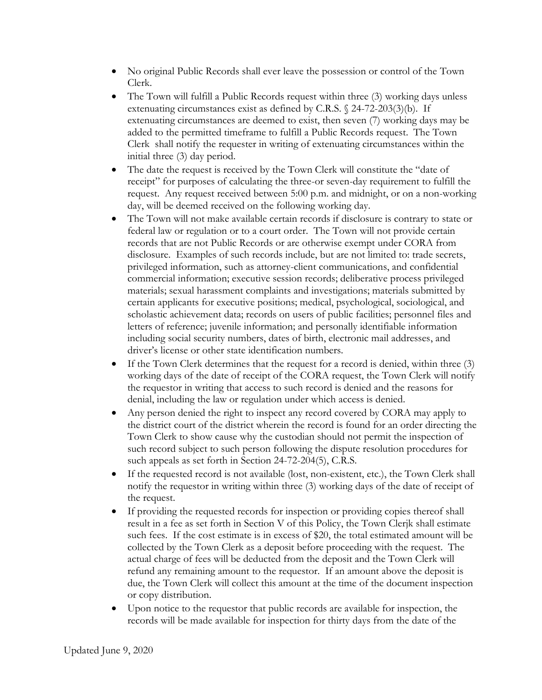- No original Public Records shall ever leave the possession or control of the Town Clerk.
- The Town will fulfill a Public Records request within three (3) working days unless extenuating circumstances exist as defined by C.R.S. § 24-72-203(3)(b). If extenuating circumstances are deemed to exist, then seven (7) working days may be added to the permitted timeframe to fulfill a Public Records request. The Town Clerk shall notify the requester in writing of extenuating circumstances within the initial three (3) day period.
- The date the request is received by the Town Clerk will constitute the "date of receipt" for purposes of calculating the three-or seven-day requirement to fulfill the request. Any request received between 5:00 p.m. and midnight, or on a non-working day, will be deemed received on the following working day.
- The Town will not make available certain records if disclosure is contrary to state or federal law or regulation or to a court order. The Town will not provide certain records that are not Public Records or are otherwise exempt under CORA from disclosure. Examples of such records include, but are not limited to: trade secrets, privileged information, such as attorney-client communications, and confidential commercial information; executive session records; deliberative process privileged materials; sexual harassment complaints and investigations; materials submitted by certain applicants for executive positions; medical, psychological, sociological, and scholastic achievement data; records on users of public facilities; personnel files and letters of reference; juvenile information; and personally identifiable information including social security numbers, dates of birth, electronic mail addresses, and driver's license or other state identification numbers.
- If the Town Clerk determines that the request for a record is denied, within three (3) working days of the date of receipt of the CORA request, the Town Clerk will notify the requestor in writing that access to such record is denied and the reasons for denial, including the law or regulation under which access is denied.
- Any person denied the right to inspect any record covered by CORA may apply to the district court of the district wherein the record is found for an order directing the Town Clerk to show cause why the custodian should not permit the inspection of such record subject to such person following the dispute resolution procedures for such appeals as set forth in Section 24-72-204(5), C.R.S.
- If the requested record is not available (lost, non-existent, etc.), the Town Clerk shall notify the requestor in writing within three (3) working days of the date of receipt of the request.
- If providing the requested records for inspection or providing copies thereof shall result in a fee as set forth in Section V of this Policy, the Town Clerjk shall estimate such fees. If the cost estimate is in excess of \$20, the total estimated amount will be collected by the Town Clerk as a deposit before proceeding with the request. The actual charge of fees will be deducted from the deposit and the Town Clerk will refund any remaining amount to the requestor. If an amount above the deposit is due, the Town Clerk will collect this amount at the time of the document inspection or copy distribution.
- Upon notice to the requestor that public records are available for inspection, the records will be made available for inspection for thirty days from the date of the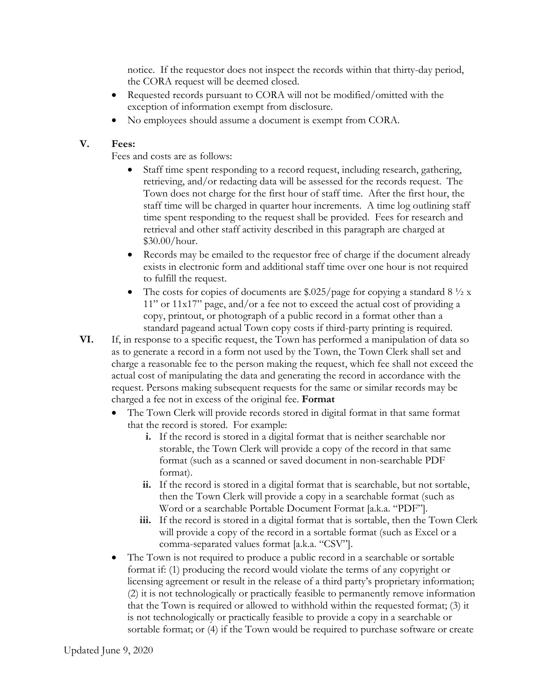notice. If the requestor does not inspect the records within that thirty-day period, the CORA request will be deemed closed.

- Requested records pursuant to CORA will not be modified/omitted with the exception of information exempt from disclosure.
- No employees should assume a document is exempt from CORA.

### **V. Fees:**

Fees and costs are as follows:

- Staff time spent responding to a record request, including research, gathering, retrieving, and/or redacting data will be assessed for the records request. The Town does not charge for the first hour of staff time. After the first hour, the staff time will be charged in quarter hour increments. A time log outlining staff time spent responding to the request shall be provided. Fees for research and retrieval and other staff activity described in this paragraph are charged at \$30.00/hour.
- Records may be emailed to the requestor free of charge if the document already exists in electronic form and additional staff time over one hour is not required to fulfill the request.
- The costs for copies of documents are  $$.025/page$  for copying a standard 8  $\frac{1}{2}$  x 11" or 11x17" page, and/or a fee not to exceed the actual cost of providing a copy, printout, or photograph of a public record in a format other than a standard pageand actual Town copy costs if third-party printing is required.
- **VI.** If, in response to a specific request, the Town has performed a manipulation of data so as to generate a record in a form not used by the Town, the Town Clerk shall set and charge a reasonable fee to the person making the request, which fee shall not exceed the actual cost of manipulating the data and generating the record in accordance with the request. Persons making subsequent requests for the same or similar records may be charged a fee not in excess of the original fee. **Format**
	- The Town Clerk will provide records stored in digital format in that same format that the record is stored. For example:
		- **i.** If the record is stored in a digital format that is neither searchable nor storable, the Town Clerk will provide a copy of the record in that same format (such as a scanned or saved document in non-searchable PDF format).
		- **ii.** If the record is stored in a digital format that is searchable, but not sortable, then the Town Clerk will provide a copy in a searchable format (such as Word or a searchable Portable Document Format [a.k.a. "PDF"].
		- **iii.** If the record is stored in a digital format that is sortable, then the Town Clerk will provide a copy of the record in a sortable format (such as Excel or a comma-separated values format [a.k.a. "CSV"].
	- The Town is not required to produce a public record in a searchable or sortable format if: (1) producing the record would violate the terms of any copyright or licensing agreement or result in the release of a third party's proprietary information; (2) it is not technologically or practically feasible to permanently remove information that the Town is required or allowed to withhold within the requested format; (3) it is not technologically or practically feasible to provide a copy in a searchable or sortable format; or (4) if the Town would be required to purchase software or create